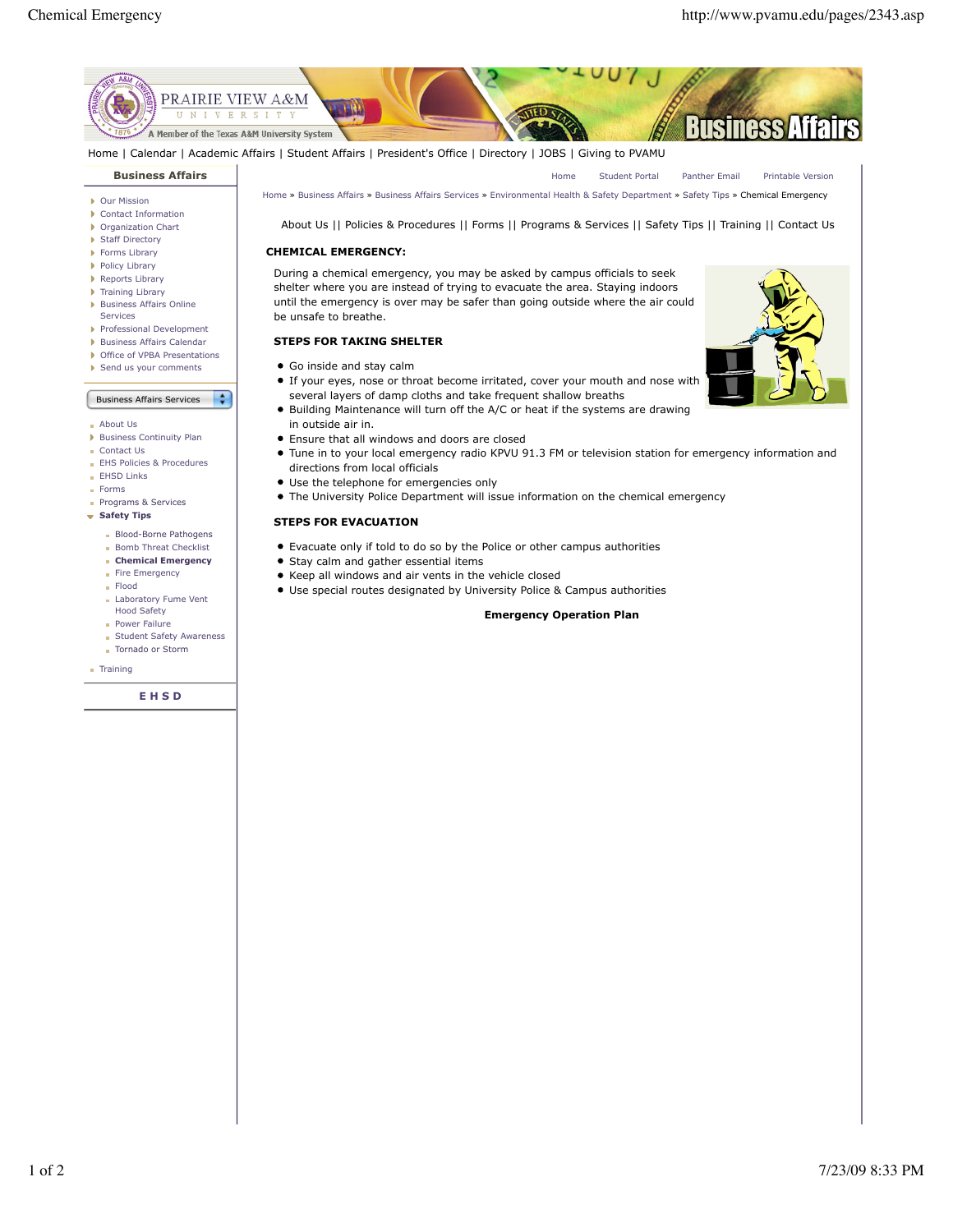

Home | Calendar | Academic Affairs | Student Affairs | President's Office | Directory | JOBS | Giving to PVAMU

# **Business Affairs**

- ▶ Our Mission
- Contact Information Organization Chart
- ▶ Staff Directory
- 
- **Forms Library**
- Policy Library
- Reports Library
- Training Library
- **Business Affairs Online**
- Services
- Professional Development
- **Business Affairs Calendar**
- ▶ Office of VPBA Presentations
- Send us your comments
- Business Affairs Services  $\div$
- About Us
- **Business Continuity Plan**
- Contact Us
- EHS Policies & Procedures
- **EHSD Links**
- Forms
- Programs & Services
- **Safety Tips** 
	- **Blood-Borne Pathogens**
	- **Bomb Threat Checklist**
	- **Chemical Emergency**
	- Fire Emergency
	- Flood
	- Laboratory Fume Vent Hood Safety
	- **Power Failure**
	- **Student Safety Awareness**
	- Tornado or Storm

**Training** 

**E H S D**

Home » Business Affairs » Business Affairs Services » Environmental Health & Safety Department » Safety Tips » Chemical Emergency

About Us || Policies & Procedures || Forms || Programs & Services || Safety Tips || Training || Contact Us

#### **CHEMICAL EMERGENCY:**

During a chemical emergency, you may be asked by campus officials to seek shelter where you are instead of trying to evacuate the area. Staying indoors until the emergency is over may be safer than going outside where the air could be unsafe to breathe.

## **STEPS FOR TAKING SHELTER**

- Go inside and stay calm
- If your eyes, nose or throat become irritated, cover your mouth and nose with several layers of damp cloths and take frequent shallow breaths
- Building Maintenance will turn off the A/C or heat if the systems are drawing in outside air in.
- Ensure that all windows and doors are closed
- Tune in to your local emergency radio KPVU 91.3 FM or television station for emergency information and directions from local officials
- Use the telephone for emergencies only
- The University Police Department will issue information on the chemical emergency

## **STEPS FOR EVACUATION**

- Evacuate only if told to do so by the Police or other campus authorities
- Stay calm and gather essential items
- Keep all windows and air vents in the vehicle closed
- Use special routes designated by University Police & Campus authorities

#### **Emergency Operation Plan**

Home Student Portal Panther Email Printable Version